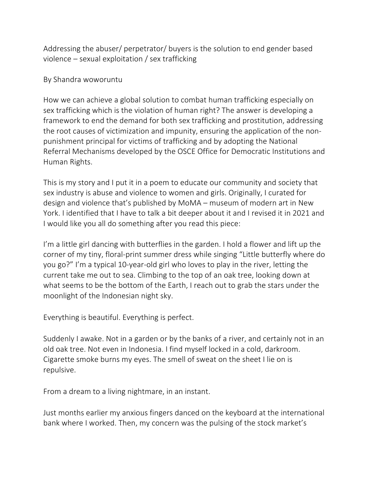Addressing the abuser/ perpetrator/ buyers is the solution to end gender based violence – sexual exploitation / sex trafficking

## By Shandra woworuntu

How we can achieve a global solution to combat human trafficking especially on sex trafficking which is the violation of human right? The answer is developing a framework to end the demand for both sex trafficking and prostitution, addressing the root causes of victimization and impunity, ensuring the application of the nonpunishment principal for victims of trafficking and by adopting the National Referral Mechanisms developed by the OSCE Office for Democratic Institutions and Human Rights.

This is my story and I put it in a poem to educate our community and society that sex industry is abuse and violence to women and girls. Originally, I curated for design and violence that's published by MoMA – museum of modern art in New York. I identified that I have to talk a bit deeper about it and I revised it in 2021 and I would like you all do something after you read this piece:

I'm a little girl dancing with butterflies in the garden. I hold a flower and lift up the corner of my tiny, floral-print summer dress while singing "Little butterfly where do you go?" I'm a typical 10-year-old girl who loves to play in the river, letting the current take me out to sea. Climbing to the top of an oak tree, looking down at what seems to be the bottom of the Earth, I reach out to grab the stars under the moonlight of the Indonesian night sky.

Everything is beautiful. Everything is perfect.

Suddenly I awake. Not in a garden or by the banks of a river, and certainly not in an old oak tree. Not even in Indonesia. I find myself locked in a cold, darkroom. Cigarette smoke burns my eyes. The smell of sweat on the sheet I lie on is repulsive.

From a dream to a living nightmare, in an instant.

Just months earlier my anxious fingers danced on the keyboard at the international bank where I worked. Then, my concern was the pulsing of the stock market's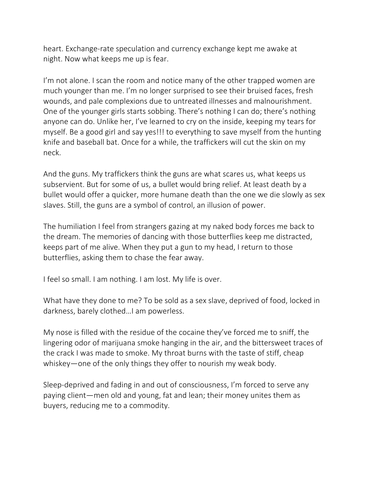heart. Exchange-rate speculation and currency exchange kept me awake at night. Now what keeps me up is fear.

I'm not alone. I scan the room and notice many of the other trapped women are much younger than me. I'm no longer surprised to see their bruised faces, fresh wounds, and pale complexions due to untreated illnesses and malnourishment. One of the younger girls starts sobbing. There's nothing I can do; there's nothing anyone can do. Unlike her, I've learned to cry on the inside, keeping my tears for myself. Be a good girl and say yes!!! to everything to save myself from the hunting knife and baseball bat. Once for a while, the traffickers will cut the skin on my neck.

And the guns. My traffickers think the guns are what scares us, what keeps us subservient. But for some of us, a bullet would bring relief. At least death by a bullet would offer a quicker, more humane death than the one we die slowly as sex slaves. Still, the guns are a symbol of control, an illusion of power.

The humiliation I feel from strangers gazing at my naked body forces me back to the dream. The memories of dancing with those butterflies keep me distracted, keeps part of me alive. When they put a gun to my head, I return to those butterflies, asking them to chase the fear away.

I feel so small. I am nothing. I am lost. My life is over.

What have they done to me? To be sold as a sex slave, deprived of food, locked in darkness, barely clothed…I am powerless.

My nose is filled with the residue of the cocaine they've forced me to sniff, the lingering odor of marijuana smoke hanging in the air, and the bittersweet traces of the crack I was made to smoke. My throat burns with the taste of stiff, cheap whiskey—one of the only things they offer to nourish my weak body.

Sleep-deprived and fading in and out of consciousness, I'm forced to serve any paying client—men old and young, fat and lean; their money unites them as buyers, reducing me to a commodity.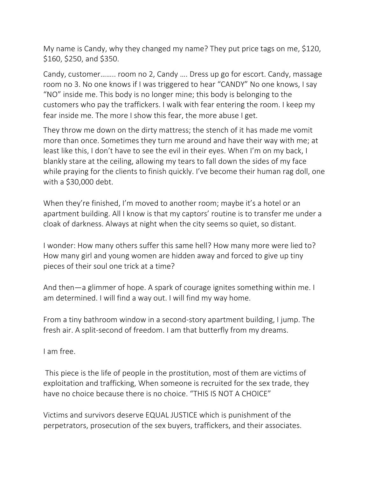My name is Candy, why they changed my name? They put price tags on me, \$120, \$160, \$250, and \$350.

Candy, customer…….. room no 2, Candy …. Dress up go for escort. Candy, massage room no 3. No one knows if I was triggered to hear "CANDY" No one knows, I say "NO" inside me. This body is no longer mine; this body is belonging to the customers who pay the traffickers. I walk with fear entering the room. I keep my fear inside me. The more I show this fear, the more abuse I get.

They throw me down on the dirty mattress; the stench of it has made me vomit more than once. Sometimes they turn me around and have their way with me; at least like this, I don't have to see the evil in their eyes. When I'm on my back, I blankly stare at the ceiling, allowing my tears to fall down the sides of my face while praying for the clients to finish quickly. I've become their human rag doll, one with a \$30,000 debt.

When they're finished, I'm moved to another room; maybe it's a hotel or an apartment building. All I know is that my captors' routine is to transfer me under a cloak of darkness. Always at night when the city seems so quiet, so distant.

I wonder: How many others suffer this same hell? How many more were lied to? How many girl and young women are hidden away and forced to give up tiny pieces of their soul one trick at a time?

And then—a glimmer of hope. A spark of courage ignites something within me. I am determined. I will find a way out. I will find my way home.

From a tiny bathroom window in a second-story apartment building, I jump. The fresh air. A split-second of freedom. I am that butterfly from my dreams.

I am free.

This piece is the life of people in the prostitution, most of them are victims of exploitation and trafficking, When someone is recruited for the sex trade, they have no choice because there is no choice. "THIS IS NOT A CHOICE"

Victims and survivors deserve EQUAL JUSTICE which is punishment of the perpetrators, prosecution of the sex buyers, traffickers, and their associates.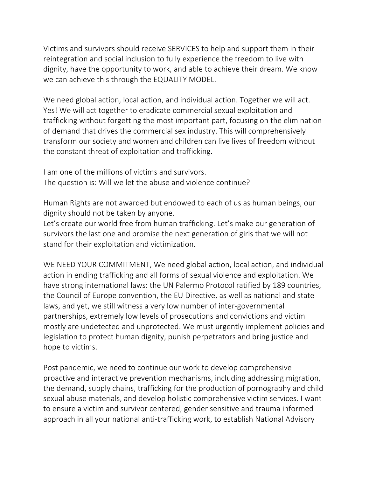Victims and survivors should receive SERVICES to help and support them in their reintegration and social inclusion to fully experience the freedom to live with dignity, have the opportunity to work, and able to achieve their dream. We know we can achieve this through the EQUALITY MODEL.

We need global action, local action, and individual action. Together we will act. Yes! We will act together to eradicate commercial sexual exploitation and trafficking without forgetting the most important part, focusing on the elimination of demand that drives the commercial sex industry. This will comprehensively transform our society and women and children can live lives of freedom without the constant threat of exploitation and trafficking.

I am one of the millions of victims and survivors. The question is: Will we let the abuse and violence continue?

Human Rights are not awarded but endowed to each of us as human beings, our dignity should not be taken by anyone.

Let's create our world free from human trafficking. Let's make our generation of survivors the last one and promise the next generation of girls that we will not stand for their exploitation and victimization.

WE NEED YOUR COMMITMENT, We need global action, local action, and individual action in ending trafficking and all forms of sexual violence and exploitation. We have strong international laws: the UN Palermo Protocol ratified by 189 countries, the Council of Europe convention, the EU Directive, as well as national and state laws, and yet, we still witness a very low number of inter-governmental partnerships, extremely low levels of prosecutions and convictions and victim mostly are undetected and unprotected. We must urgently implement policies and legislation to protect human dignity, punish perpetrators and bring justice and hope to victims.

Post pandemic, we need to continue our work to develop comprehensive proactive and interactive prevention mechanisms, including addressing migration, the demand, supply chains, trafficking for the production of pornography and child sexual abuse materials, and develop holistic comprehensive victim services. I want to ensure a victim and survivor centered, gender sensitive and trauma informed approach in all your national anti-trafficking work, to establish National Advisory